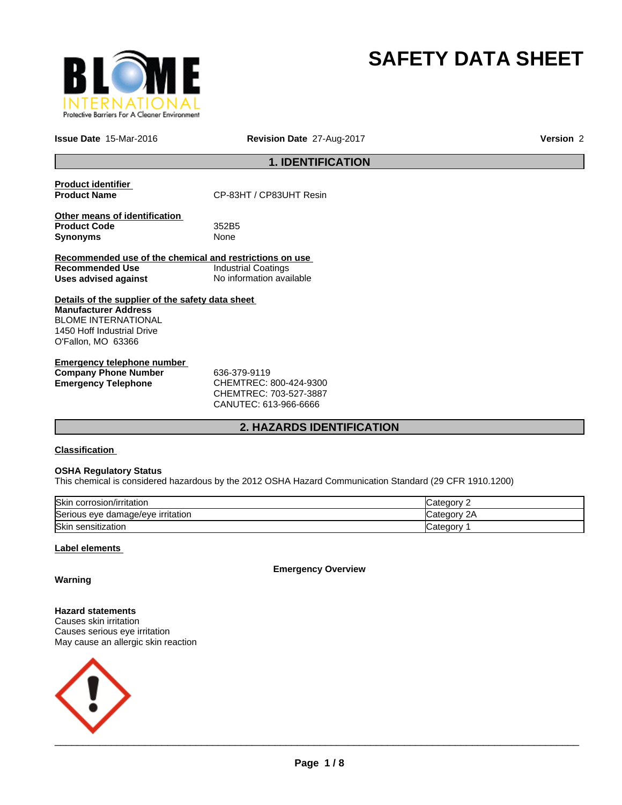

# **SAFETY DATA SHEET**

**Issue Date** 15-Mar-2016 **Revision Date** 27-Aug-2017 **Version** 2

# **1. IDENTIFICATION**

| <b>Product identifier</b><br><b>Product Name</b>                                                                                                           | CP-83HT / CP83UHT Resin    |  |  |
|------------------------------------------------------------------------------------------------------------------------------------------------------------|----------------------------|--|--|
| Other means of identification<br><b>Product Code</b><br><b>Synonyms</b>                                                                                    | 352B5<br>None              |  |  |
| Recommended use of the chemical and restrictions on use                                                                                                    |                            |  |  |
| Recommended Use                                                                                                                                            | <b>Industrial Coatings</b> |  |  |
| Uses advised against                                                                                                                                       | No information available   |  |  |
| Details of the supplier of the safety data sheet<br><b>Manufacturer Address</b><br>BLOME INTERNATIONAL<br>1450 Hoff Industrial Drive<br>O'Fallon, MO 63366 |                            |  |  |
| Emergency telephone number                                                                                                                                 |                            |  |  |

**Company Phone Number 636-379-9119<br>
<b>Emergency Telephone CHEMTREC:** 

**Emergency Telephone** CHEMTREC: 800-424-9300 CHEMTREC: 703-527-3887 CANUTEC: 613-966-6666

# **2. HAZARDS IDENTIFICATION**

# **Classification**

#### **OSHA Regulatory Status**

This chemical is considered hazardous by the 2012 OSHA Hazard Communication Standard (29 CFR 1910.1200)

| Skin corrosion/irritation         | Category        |
|-----------------------------------|-----------------|
| Serious eye damage/eye irritation | 2A<br>∵ategorvٽ |
| Skin sensitization                | √ategor∪        |

#### **Label elements**

**Emergency Overview**

**Warning**

**Hazard statements** Causes skin irritation Causes serious eye irritation May cause an allergic skin reaction

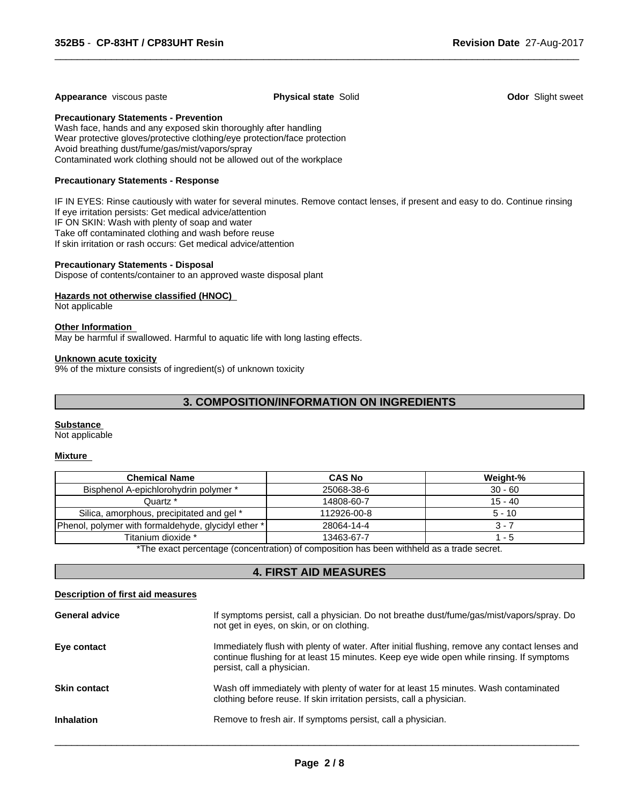#### **Appearance** viscous paste **Physical state** Solid **Odor** Slight sweet

 $\overline{\phantom{a}}$  ,  $\overline{\phantom{a}}$  ,  $\overline{\phantom{a}}$  ,  $\overline{\phantom{a}}$  ,  $\overline{\phantom{a}}$  ,  $\overline{\phantom{a}}$  ,  $\overline{\phantom{a}}$  ,  $\overline{\phantom{a}}$  ,  $\overline{\phantom{a}}$  ,  $\overline{\phantom{a}}$  ,  $\overline{\phantom{a}}$  ,  $\overline{\phantom{a}}$  ,  $\overline{\phantom{a}}$  ,  $\overline{\phantom{a}}$  ,  $\overline{\phantom{a}}$  ,  $\overline{\phantom{a}}$ 

**Precautionary Statements - Prevention**

Wash face, hands and any exposed skin thoroughly after handling Wear protective gloves/protective clothing/eye protection/face protection Avoid breathing dust/fume/gas/mist/vapors/spray Contaminated work clothing should not be allowed out of the workplace

#### **Precautionary Statements - Response**

IF IN EYES: Rinse cautiously with water for several minutes. Remove contact lenses, if present and easy to do. Continue rinsing If eye irritation persists: Get medical advice/attention IF ON SKIN: Wash with plenty of soap and water Take off contaminated clothing and wash before reuse If skin irritation or rash occurs: Get medical advice/attention

#### **Precautionary Statements - Disposal**

Dispose of contents/container to an approved waste disposal plant

#### **Hazards not otherwise classified (HNOC)**

Not applicable

#### **Other Information**

May be harmful if swallowed. Harmful to aquatic life with long lasting effects.

#### **Unknown acute toxicity**

9% of the mixture consists of ingredient(s) of unknown toxicity

# **3. COMPOSITION/INFORMATION ON INGREDIENTS**

#### **Substance**

Not applicable

#### **Mixture**

| <b>Chemical Name</b>                                | <b>CAS No</b> | <b>Weight-%</b> |
|-----------------------------------------------------|---------------|-----------------|
| Bisphenol A-epichlorohydrin polymer *               | 25068-38-6    | $30 - 60$       |
| Quartz *                                            | 14808-60-7    | $15 - 40$       |
| Silica, amorphous, precipitated and gel *           | 112926-00-8   | $5 - 10$        |
| Phenol, polymer with formaldehyde, glycidyl ether * | 28064-14-4    | 3 - 7           |
| Titanium dioxide *                                  | 13463-67-7    | - 5             |

\*The exact percentage (concentration) of composition has been withheld as a trade secret.

# **4. FIRST AID MEASURES**

#### **Description of first aid measures**

| <b>General advice</b> | If symptoms persist, call a physician. Do not breathe dust/fume/gas/mist/vapors/spray. Do<br>not get in eyes, on skin, or on clothing.                                                                                  |
|-----------------------|-------------------------------------------------------------------------------------------------------------------------------------------------------------------------------------------------------------------------|
| Eye contact           | Immediately flush with plenty of water. After initial flushing, remove any contact lenses and<br>continue flushing for at least 15 minutes. Keep eye wide open while rinsing. If symptoms<br>persist, call a physician. |
| <b>Skin contact</b>   | Wash off immediately with plenty of water for at least 15 minutes. Wash contaminated<br>clothing before reuse. If skin irritation persists, call a physician.                                                           |
| <b>Inhalation</b>     | Remove to fresh air. If symptoms persist, call a physician.                                                                                                                                                             |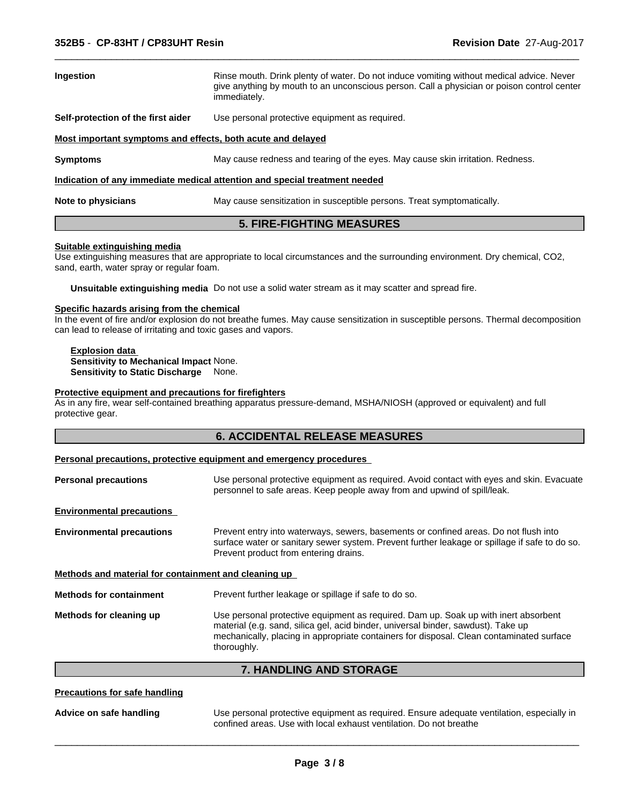| Ingestion                                                                  | Rinse mouth. Drink plenty of water. Do not induce vomiting without medical advice. Never<br>give anything by mouth to an unconscious person. Call a physician or poison control center<br>immediately. |  |  |  |  |
|----------------------------------------------------------------------------|--------------------------------------------------------------------------------------------------------------------------------------------------------------------------------------------------------|--|--|--|--|
| Self-protection of the first aider                                         | Use personal protective equipment as required.                                                                                                                                                         |  |  |  |  |
| Most important symptoms and effects, both acute and delayed                |                                                                                                                                                                                                        |  |  |  |  |
| <b>Symptoms</b>                                                            | May cause redness and tearing of the eyes. May cause skin irritation. Redness.                                                                                                                         |  |  |  |  |
| Indication of any immediate medical attention and special treatment needed |                                                                                                                                                                                                        |  |  |  |  |
| Note to physicians                                                         | May cause sensitization in susceptible persons. Treat symptomatically.                                                                                                                                 |  |  |  |  |

 $\overline{\phantom{a}}$  ,  $\overline{\phantom{a}}$  ,  $\overline{\phantom{a}}$  ,  $\overline{\phantom{a}}$  ,  $\overline{\phantom{a}}$  ,  $\overline{\phantom{a}}$  ,  $\overline{\phantom{a}}$  ,  $\overline{\phantom{a}}$  ,  $\overline{\phantom{a}}$  ,  $\overline{\phantom{a}}$  ,  $\overline{\phantom{a}}$  ,  $\overline{\phantom{a}}$  ,  $\overline{\phantom{a}}$  ,  $\overline{\phantom{a}}$  ,  $\overline{\phantom{a}}$  ,  $\overline{\phantom{a}}$ 

# **5. FIRE-FIGHTING MEASURES**

#### **Suitable extinguishing media**

Use extinguishing measures that are appropriate to local circumstances and the surrounding environment. Dry chemical, CO2, sand, earth, water spray or regular foam.

**Unsuitable extinguishing media** Do not use a solid water stream as it may scatter and spread fire.

#### **Specific hazards arising from the chemical**

In the event of fire and/or explosion do not breathe fumes. May cause sensitization in susceptible persons. Thermal decomposition can lead to release of irritating and toxic gases and vapors.

#### **Explosion data Sensitivity to Mechanical Impact** None. **Sensitivity to Static Discharge** None.

# **Protective equipment and precautions for firefighters**

As in any fire, wear self-contained breathing apparatus pressure-demand, MSHA/NIOSH (approved or equivalent) and full protective gear.

| <b>6. ACCIDENTAL RELEASE MEASURES</b> |  |
|---------------------------------------|--|
|---------------------------------------|--|

#### **Personal precautions, protective equipment and emergency procedures**

| Use personal protective equipment as required. Avoid contact with eyes and skin. Evacuate<br>personnel to safe areas. Keep people away from and upwind of spill/leak.                                                                                                |  |
|----------------------------------------------------------------------------------------------------------------------------------------------------------------------------------------------------------------------------------------------------------------------|--|
|                                                                                                                                                                                                                                                                      |  |
| Prevent entry into waterways, sewers, basements or confined areas. Do not flush into<br>surface water or sanitary sewer system. Prevent further leakage or spillage if safe to do so.<br>Prevent product from entering drains.                                       |  |
| Methods and material for containment and cleaning up                                                                                                                                                                                                                 |  |
| Prevent further leakage or spillage if safe to do so.                                                                                                                                                                                                                |  |
| Use personal protective equipment as required. Dam up. Soak up with inert absorbent<br>material (e.g. sand, silica gel, acid binder, universal binder, sawdust). Take up<br>mechanically, placing in appropriate containers for disposal. Clean contaminated surface |  |
|                                                                                                                                                                                                                                                                      |  |

**7. HANDLING AND STORAGE**

#### **Precautions for safe handling**

**Advice on safe handling** Use personal protective equipment as required. Ensure adequate ventilation, especially in confined areas. Use with local exhaust ventilation. Do not breathe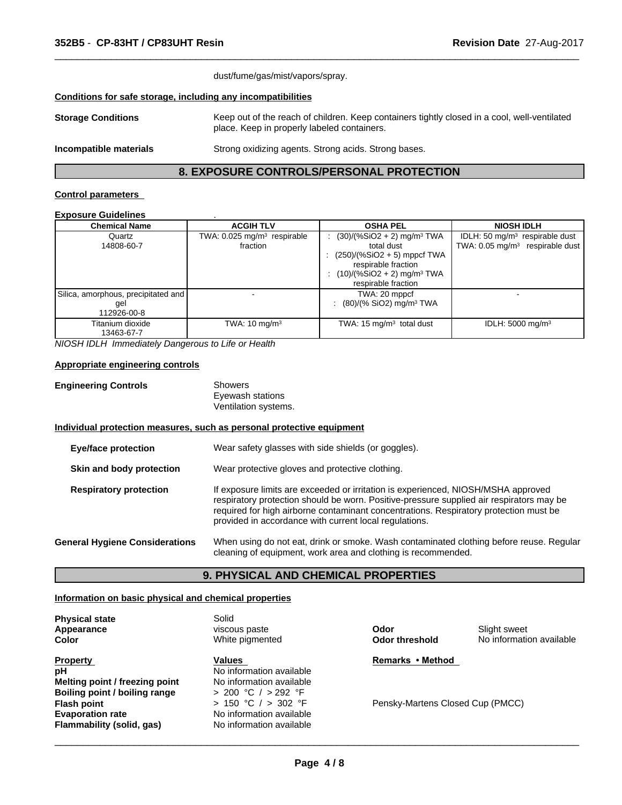| dust/fume/gas/mist/vapors/spray.                             |                                                                                                                                             |  |
|--------------------------------------------------------------|---------------------------------------------------------------------------------------------------------------------------------------------|--|
| Conditions for safe storage, including any incompatibilities |                                                                                                                                             |  |
| <b>Storage Conditions</b>                                    | Keep out of the reach of children. Keep containers tightly closed in a cool, well-ventilated<br>place. Keep in properly labeled containers. |  |
| Incompatible materials                                       | Strong oxidizing agents. Strong acids. Strong bases.                                                                                        |  |

 $\overline{\phantom{a}}$  ,  $\overline{\phantom{a}}$  ,  $\overline{\phantom{a}}$  ,  $\overline{\phantom{a}}$  ,  $\overline{\phantom{a}}$  ,  $\overline{\phantom{a}}$  ,  $\overline{\phantom{a}}$  ,  $\overline{\phantom{a}}$  ,  $\overline{\phantom{a}}$  ,  $\overline{\phantom{a}}$  ,  $\overline{\phantom{a}}$  ,  $\overline{\phantom{a}}$  ,  $\overline{\phantom{a}}$  ,  $\overline{\phantom{a}}$  ,  $\overline{\phantom{a}}$  ,  $\overline{\phantom{a}}$ 

# **8. EXPOSURE CONTROLS/PERSONAL PROTECTION**

#### **Control parameters**

#### **Exposure Guidelines** .

| <b>Chemical Name</b>                                      | <b>ACGIH TLV</b>                                    | <b>OSHA PEL</b>                                                                                                                                                                        | <b>NIOSH IDLH</b>                                                               |
|-----------------------------------------------------------|-----------------------------------------------------|----------------------------------------------------------------------------------------------------------------------------------------------------------------------------------------|---------------------------------------------------------------------------------|
| Quartz<br>14808-60-7                                      | TWA: 0.025 mg/m <sup>3</sup> respirable<br>fraction | $(30)/(%SiO2 + 2)$ mg/m <sup>3</sup> TWA<br>total dust<br>$(250)/(%SiO2 + 5)$ mppcf TWA<br>÷<br>respirable fraction<br>$(10)/(%SiO2 + 2)$ mg/m <sup>3</sup> TWA<br>respirable fraction | IDLH: 50 $mg/m3$ respirable dust<br>TWA: 0.05 mg/m <sup>3</sup> respirable dust |
| Silica, amorphous, precipitated and<br>gel<br>112926-00-8 |                                                     | TWA: 20 mppcf<br>: $(80)/(%$ SiO2) mg/m <sup>3</sup> TWA                                                                                                                               |                                                                                 |
| Titanium dioxide<br>13463-67-7                            | TWA: $10 \text{ mg/m}^3$                            | TWA: $15 \text{ mg/m}^3$ total dust                                                                                                                                                    | IDLH: $5000 \text{ mg/m}^3$                                                     |

*NIOSH IDLH Immediately Dangerous to Life or Health*

#### **Appropriate engineering controls**

| <b>Engineering Controls</b> | Showers          |  |
|-----------------------------|------------------|--|
|                             | Eyewash stations |  |

ewash stations Ventilation systems.

#### **Individual protection measures, such as personal protective equipment**

| <b>Eye/face protection</b>            | Wear safety glasses with side shields (or goggles).                                                                                                                                                                                                                                                                              |
|---------------------------------------|----------------------------------------------------------------------------------------------------------------------------------------------------------------------------------------------------------------------------------------------------------------------------------------------------------------------------------|
| Skin and body protection              | Wear protective gloves and protective clothing.                                                                                                                                                                                                                                                                                  |
| <b>Respiratory protection</b>         | If exposure limits are exceeded or irritation is experienced, NIOSH/MSHA approved<br>respiratory protection should be worn. Positive-pressure supplied air respirators may be<br>required for high airborne contaminant concentrations. Respiratory protection must be<br>provided in accordance with current local regulations. |
| <b>General Hygiene Considerations</b> | When using do not eat, drink or smoke. Wash contaminated clothing before reuse. Regular<br>cleaning of equipment, work area and clothing is recommended.                                                                                                                                                                         |

# **9. PHYSICAL AND CHEMICAL PROPERTIES**

#### **Information on basic physical and chemical properties**

**Physical state** Solid

| .<br>Appearance<br>Color       | viscous paste<br>White pigmented | Odor<br><b>Odor threshold</b>    | Slight sweet<br>No information available |
|--------------------------------|----------------------------------|----------------------------------|------------------------------------------|
| <b>Property</b>                | <b>Values</b>                    | Remarks • Method                 |                                          |
| рH                             | No information available         |                                  |                                          |
| Melting point / freezing point | No information available         |                                  |                                          |
| Boiling point / boiling range  | $> 200$ °C $/ > 292$ °F          |                                  |                                          |
| <b>Flash point</b>             | $> 150$ °C $/ > 302$ °F          | Pensky-Martens Closed Cup (PMCC) |                                          |
| <b>Evaporation rate</b>        | No information available         |                                  |                                          |
| Flammability (solid, gas)      | No information available         |                                  |                                          |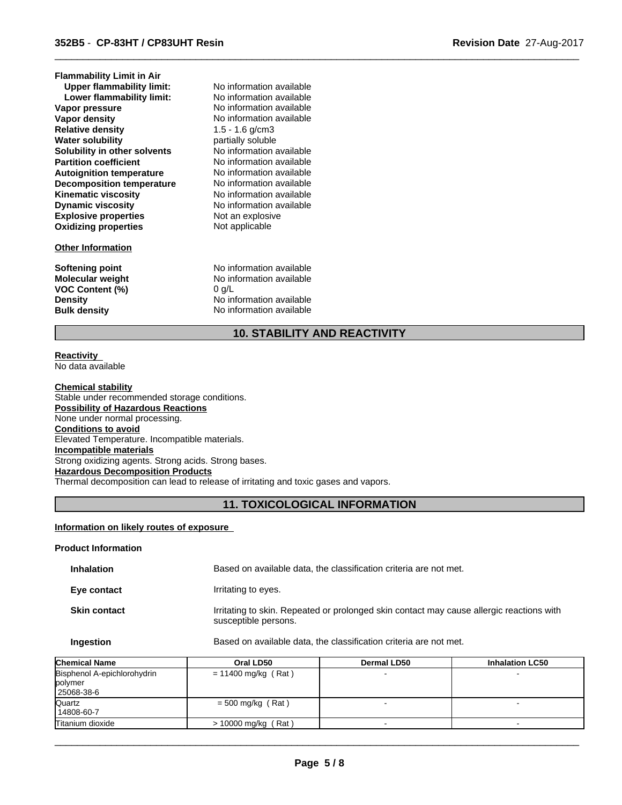| <b>Flammability Limit in Air</b> |                          |  |
|----------------------------------|--------------------------|--|
| <b>Upper flammability limit:</b> | No information available |  |
| Lower flammability limit:        | No information available |  |
| Vapor pressure                   | No information available |  |
| Vapor density                    | No information available |  |
| <b>Relative density</b>          | 1.5 - 1.6 g/cm3          |  |
| <b>Water solubility</b>          | partially soluble        |  |
| Solubility in other solvents     | No information available |  |
| <b>Partition coefficient</b>     | No information available |  |
| <b>Autoignition temperature</b>  | No information available |  |
| <b>Decomposition temperature</b> | No information available |  |
| <b>Kinematic viscosity</b>       | No information available |  |
| <b>Dynamic viscosity</b>         | No information available |  |
| <b>Explosive properties</b>      | Not an explosive         |  |
| <b>Oxidizing properties</b>      | Not applicable           |  |
| <b>Other Information</b>         |                          |  |
| Softening point                  | No information available |  |
| Molecular weight                 | No information available |  |
| <b>VOC Content (%)</b>           | $0$ g/L                  |  |
| <b>Density</b>                   | No information available |  |
| <b>Bulk density</b>              | No information available |  |
|                                  |                          |  |

# **10. STABILITY AND REACTIVITY**

 $\overline{\phantom{a}}$  ,  $\overline{\phantom{a}}$  ,  $\overline{\phantom{a}}$  ,  $\overline{\phantom{a}}$  ,  $\overline{\phantom{a}}$  ,  $\overline{\phantom{a}}$  ,  $\overline{\phantom{a}}$  ,  $\overline{\phantom{a}}$  ,  $\overline{\phantom{a}}$  ,  $\overline{\phantom{a}}$  ,  $\overline{\phantom{a}}$  ,  $\overline{\phantom{a}}$  ,  $\overline{\phantom{a}}$  ,  $\overline{\phantom{a}}$  ,  $\overline{\phantom{a}}$  ,  $\overline{\phantom{a}}$ 

#### **Reactivity**  No data available

**Chemical stability** Stable under recommended storage conditions. **Possibility of Hazardous Reactions** None under normal processing. **Conditions to avoid** Elevated Temperature. Incompatible materials. **Incompatible materials** Strong oxidizing agents. Strong acids. Strong bases. **Hazardous Decomposition Products** Thermal decomposition can lead to release of irritating and toxic gases and vapors.

# **11. TOXICOLOGICAL INFORMATION**

# **Information on likely routes of exposure**

#### **Product Information**

| <b>Inhalation</b>   | Based on available data, the classification criteria are not met.                                                |
|---------------------|------------------------------------------------------------------------------------------------------------------|
| Eye contact         | Irritating to eyes.                                                                                              |
| <b>Skin contact</b> | Irritating to skin. Repeated or prolonged skin contact may cause allergic reactions with<br>susceptible persons. |

#### **Ingestion** Based on available data, the classification criteria are not met.

| <b>Chemical Name</b>        | Oral LD50             | <b>Dermal LD50</b> | <b>Inhalation LC50</b> |
|-----------------------------|-----------------------|--------------------|------------------------|
| Bisphenol A-epichlorohydrin | $= 11400$ mg/kg (Rat) |                    |                        |
| polymer                     |                       |                    |                        |
| 25068-38-6                  |                       |                    |                        |
| Quartz                      | $=$ 500 mg/kg (Rat)   |                    |                        |
| 14808-60-7                  |                       |                    |                        |
| Titanium dioxide            | $> 10000$ mg/kg (Rat) |                    |                        |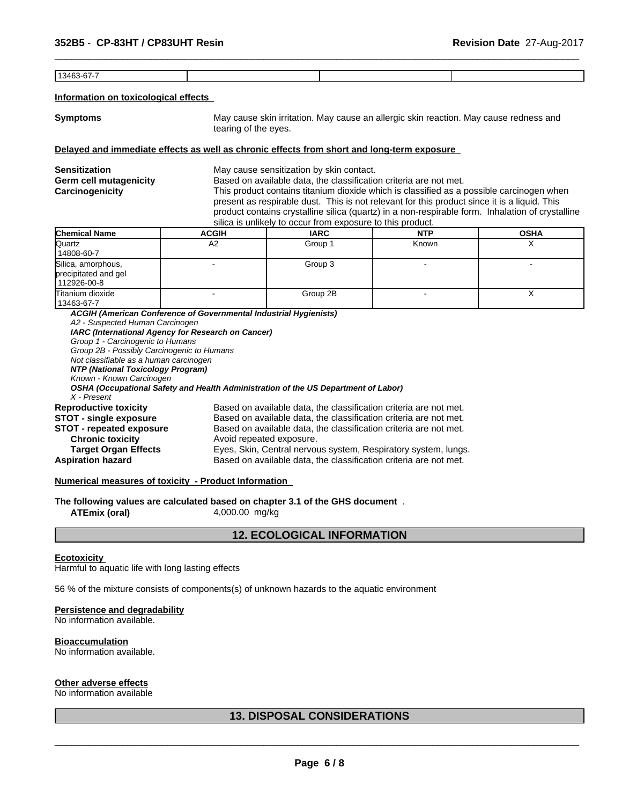13463-67-7

#### **Information on toxicological effects**

**Symptoms** May cause skin irritation. May cause an allergic skin reaction. May cause redness and tearing of the eyes.

#### **Delayed and immediate effects as well as chronic effects from short and long-term exposure**

**Sensitization** May cause sensitization by skin contact. **Germ cell mutagenicity** Based on available data, the classification criteria are not met. **Carcinogenicity** This product contains titanium dioxide which is classified as a possible carcinogen when

 $\overline{\phantom{a}}$  ,  $\overline{\phantom{a}}$  ,  $\overline{\phantom{a}}$  ,  $\overline{\phantom{a}}$  ,  $\overline{\phantom{a}}$  ,  $\overline{\phantom{a}}$  ,  $\overline{\phantom{a}}$  ,  $\overline{\phantom{a}}$  ,  $\overline{\phantom{a}}$  ,  $\overline{\phantom{a}}$  ,  $\overline{\phantom{a}}$  ,  $\overline{\phantom{a}}$  ,  $\overline{\phantom{a}}$  ,  $\overline{\phantom{a}}$  ,  $\overline{\phantom{a}}$  ,  $\overline{\phantom{a}}$ 

present as respirable dust. This is not relevant for this product since it is a liquid. This product contains crystalline silica (quartz) in a non-respirable form. Inhalation of crystalline silica is unlikely to occur from exposure to this product.

| <b>Chemical Name</b>                                      | <b>ACGIH</b> | <b>IARC</b> | <b>NTP</b> | <b>OSHA</b> |
|-----------------------------------------------------------|--------------|-------------|------------|-------------|
| Quartz<br>14808-60-7                                      | A2           | Group 1     | Known      |             |
| Silica, amorphous,<br>precipitated and gel<br>112926-00-8 |              | Group 3     |            |             |
| Titanium dioxide<br>13463-67-7                            |              | Group 2B    |            | $\lambda$   |

*ACGIH (American Conference of Governmental Industrial Hygienists) A2 - Suspected Human Carcinogen IARC (International Agency for Research on Cancer) Group 1 - Carcinogenic to Humans Group 2B - Possibly Carcinogenic to Humans Not classifiable as a human carcinogen NTP (National Toxicology Program) Known - Known Carcinogen OSHA (Occupational Safety and Health Administration of the US Department of Labor) X - Present* **Reproductive toxicity** Based on available data, the classification criteria are not met. **STOT - single exposure** Based on available data, the classification criteria are not met. **STOT - repeated exposure** Based on available data, the classification criteria are not met. **Chronic toxicity Chronic toxicity Chronic toxicity Avoid repeated exposure.**<br> **Target Organ Effects** Eyes, Skin, Central nervou Eyes, Skin, Central nervous system, Respiratory system, lungs. **Aspiration hazard** Based on available data, the classification criteria are not met.

#### **Numerical measures of toxicity - Product Information**

**The following values are calculated based on chapter 3.1 of the GHS document** .

**ATEmix (oral)** 4,000.00 mg/kg

# **12. ECOLOGICAL INFORMATION**

#### **Ecotoxicity**

Harmful to aquatic life with long lasting effects

56 % of the mixture consists of components(s) of unknown hazards to the aquatic environment

#### **Persistence and degradability**

No information available.

#### **Bioaccumulation**

No information available.

# **Other adverse effects**

No information available

# **13. DISPOSAL CONSIDERATIONS**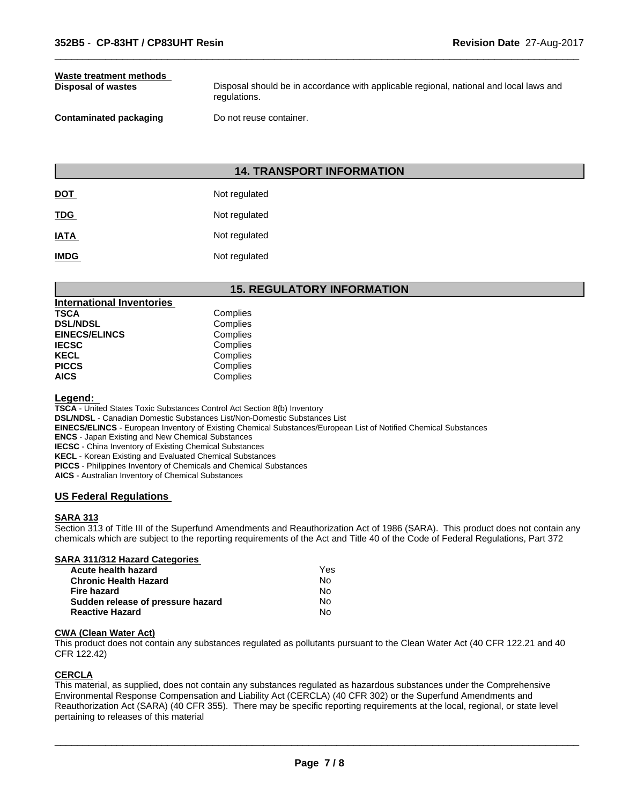# **Waste treatment methods**

**Disposal of wastes Disposal should be in accordance with applicable regional, national and local laws and <b>Disposal** should be in accordance with applicable regional, national and local laws and regulations.

 $\overline{\phantom{a}}$  ,  $\overline{\phantom{a}}$  ,  $\overline{\phantom{a}}$  ,  $\overline{\phantom{a}}$  ,  $\overline{\phantom{a}}$  ,  $\overline{\phantom{a}}$  ,  $\overline{\phantom{a}}$  ,  $\overline{\phantom{a}}$  ,  $\overline{\phantom{a}}$  ,  $\overline{\phantom{a}}$  ,  $\overline{\phantom{a}}$  ,  $\overline{\phantom{a}}$  ,  $\overline{\phantom{a}}$  ,  $\overline{\phantom{a}}$  ,  $\overline{\phantom{a}}$  ,  $\overline{\phantom{a}}$ 

**Contaminated packaging Do not reuse container.** 

# **14. TRANSPORT INFORMATION**

| <b>DOT</b>  | Not regulated |
|-------------|---------------|
| <b>TDG</b>  | Not regulated |
| <b>IATA</b> | Not regulated |
| <b>IMDG</b> | Not regulated |

# **15. REGULATORY INFORMATION**

| <b>International Inventories</b> |  |
|----------------------------------|--|
| Complies                         |  |
| Complies                         |  |
| Complies                         |  |
| Complies                         |  |
| Complies                         |  |
| Complies                         |  |
| Complies                         |  |
|                                  |  |

#### **Legend:**

**TSCA** - United States Toxic Substances Control Act Section 8(b) Inventory **DSL/NDSL** - Canadian Domestic Substances List/Non-Domestic Substances List **EINECS/ELINCS** - European Inventory of Existing Chemical Substances/European List of Notified Chemical Substances **ENCS** - Japan Existing and New Chemical Substances **IECSC** - China Inventory of Existing Chemical Substances **KECL** - Korean Existing and Evaluated Chemical Substances **PICCS** - Philippines Inventory of Chemicals and Chemical Substances **AICS** - Australian Inventory of Chemical Substances

# **US Federal Regulations**

#### **SARA 313**

Section 313 of Title III of the Superfund Amendments and Reauthorization Act of 1986 (SARA). This product does not contain any chemicals which are subject to the reporting requirements of the Act and Title 40 of the Code of Federal Regulations, Part 372

#### **SARA 311/312 Hazard Categories**

| Acute health hazard               | Yes |
|-----------------------------------|-----|
| <b>Chronic Health Hazard</b>      | No. |
| Fire hazard                       | N٥  |
| Sudden release of pressure hazard | No. |
| <b>Reactive Hazard</b>            | No  |

#### **CWA (Clean Water Act)**

This product does not contain any substances regulated as pollutants pursuant to the Clean Water Act (40 CFR 122.21 and 40 CFR 122.42)

#### **CERCLA**

This material, as supplied, does not contain any substances regulated as hazardous substances under the Comprehensive Environmental Response Compensation and Liability Act (CERCLA) (40 CFR 302) or the Superfund Amendments and Reauthorization Act (SARA) (40 CFR 355). There may be specific reporting requirements at the local, regional, or state level pertaining to releases of this material